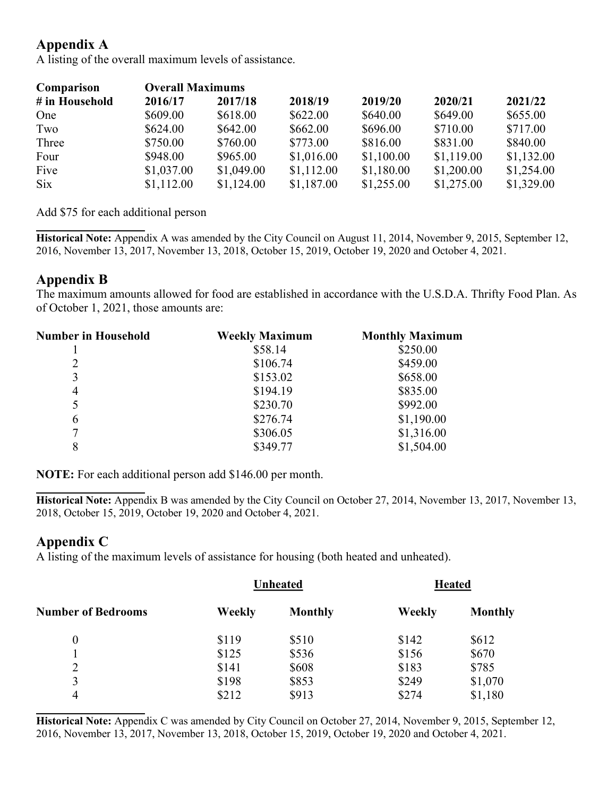# Appendix A

A listing of the overall maximum levels of assistance.

| Comparison     | <b>Overall Maximums</b> |            |            |            |            |            |
|----------------|-------------------------|------------|------------|------------|------------|------------|
| # in Household | 2016/17                 | 2017/18    | 2018/19    | 2019/20    | 2020/21    | 2021/22    |
| One            | \$609.00                | \$618.00   | \$622.00   | \$640.00   | \$649.00   | \$655.00   |
| Two            | \$624.00                | \$642.00   | \$662.00   | \$696.00   | \$710.00   | \$717.00   |
| Three          | \$750.00                | \$760.00   | \$773.00   | \$816.00   | \$831.00   | \$840.00   |
| Four           | \$948.00                | \$965.00   | \$1,016.00 | \$1,100.00 | \$1,119.00 | \$1,132.00 |
| Five           | \$1,037.00              | \$1,049.00 | \$1,112.00 | \$1,180.00 | \$1,200.00 | \$1,254.00 |
| Six            | \$1,112.00              | \$1,124.00 | \$1,187.00 | \$1,255.00 | \$1,275.00 | \$1,329.00 |

Add \$75 for each additional person

 $\overline{\phantom{a}}$ Historical Note: Appendix A was amended by the City Council on August 11, 2014, November 9, 2015, September 12, 2016, November 13, 2017, November 13, 2018, October 15, 2019, October 19, 2020 and October 4, 2021.

### Appendix B

The maximum amounts allowed for food are established in accordance with the U.S.D.A. Thrifty Food Plan. As of October 1, 2021, those amounts are:

| <b>Number in Household</b> | <b>Weekly Maximum</b> | <b>Monthly Maximum</b> |  |
|----------------------------|-----------------------|------------------------|--|
|                            | \$58.14               | \$250.00               |  |
| 2                          | \$106.74              | \$459.00               |  |
| 3                          | \$153.02              | \$658.00               |  |
| $\overline{4}$             | \$194.19              | \$835.00               |  |
| 5                          | \$230.70              | \$992.00               |  |
| 6                          | \$276.74              | \$1,190.00             |  |
| 7                          | \$306.05              | \$1,316.00             |  |
| 8                          | \$349.77              | \$1,504.00             |  |

NOTE: For each additional person add \$146.00 per month.

Historical Note: Appendix B was amended by the City Council on October 27, 2014, November 13, 2017, November 13, 2018, October 15, 2019, October 19, 2020 and October 4, 2021.

## Appendix C

 $\overline{\phantom{a}}$ 

l

A listing of the maximum levels of assistance for housing (both heated and unheated).

| <b>Unheated</b> |                | <b>Heated</b> |                |
|-----------------|----------------|---------------|----------------|
| Weekly          | <b>Monthly</b> | Weekly        | <b>Monthly</b> |
| \$119           | \$510          | \$142         | \$612          |
| \$125           | \$536          | \$156         | \$670          |
| \$141           | \$608          | \$183         | \$785          |
| \$198           | \$853          | \$249         | \$1,070        |
| \$212           | \$913          | \$274         | \$1,180        |
|                 |                |               |                |

Historical Note: Appendix C was amended by City Council on October 27, 2014, November 9, 2015, September 12, 2016, November 13, 2017, November 13, 2018, October 15, 2019, October 19, 2020 and October 4, 2021.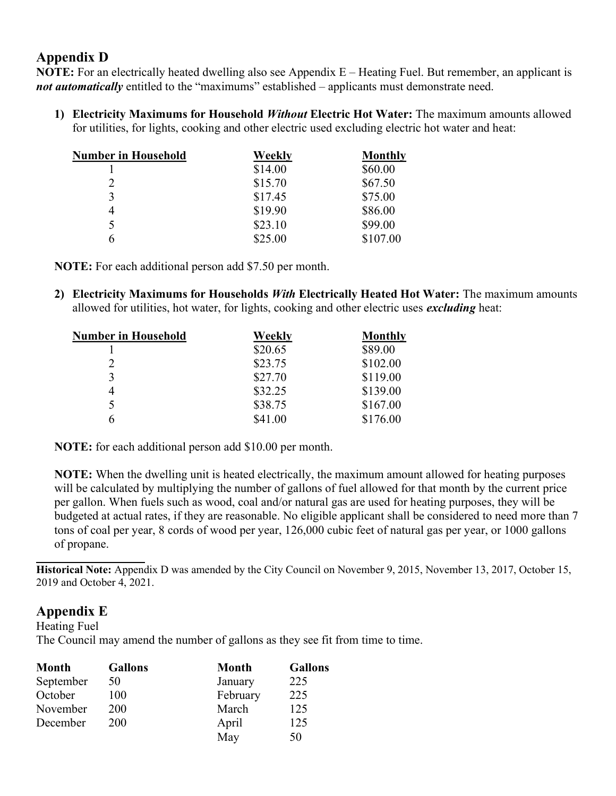## Appendix D

NOTE: For an electrically heated dwelling also see Appendix E – Heating Fuel. But remember, an applicant is not automatically entitled to the "maximums" established – applicants must demonstrate need.

1) Electricity Maximums for Household Without Electric Hot Water: The maximum amounts allowed for utilities, for lights, cooking and other electric used excluding electric hot water and heat:

| <b>Number in Household</b> | Weekly  | <b>Monthly</b> |
|----------------------------|---------|----------------|
|                            | \$14.00 | \$60.00        |
| $\overline{2}$             | \$15.70 | \$67.50        |
| 3                          | \$17.45 | \$75.00        |
| 4                          | \$19.90 | \$86.00        |
| 5                          | \$23.10 | \$99.00        |
|                            | \$25.00 | \$107.00       |

NOTE: For each additional person add \$7.50 per month.

2) Electricity Maximums for Households *With* Electrically Heated Hot Water: The maximum amounts allowed for utilities, hot water, for lights, cooking and other electric uses excluding heat:

| <b>Number in Household</b> | Weekly  | <b>Monthly</b> |  |
|----------------------------|---------|----------------|--|
|                            | \$20.65 | \$89.00        |  |
| 2                          | \$23.75 | \$102.00       |  |
| 3                          | \$27.70 | \$119.00       |  |
| 4                          | \$32.25 | \$139.00       |  |
| 5                          | \$38.75 | \$167.00       |  |
| h                          | \$41.00 | \$176.00       |  |
|                            |         |                |  |

NOTE: for each additional person add \$10.00 per month.

NOTE: When the dwelling unit is heated electrically, the maximum amount allowed for heating purposes will be calculated by multiplying the number of gallons of fuel allowed for that month by the current price per gallon. When fuels such as wood, coal and/or natural gas are used for heating purposes, they will be budgeted at actual rates, if they are reasonable. No eligible applicant shall be considered to need more than 7 tons of coal per year, 8 cords of wood per year, 126,000 cubic feet of natural gas per year, or 1000 gallons of propane.

Historical Note: Appendix D was amended by the City Council on November 9, 2015, November 13, 2017, October 15, 2019 and October 4, 2021.

#### Appendix E

 $\overline{\phantom{a}}$ 

Heating Fuel The Council may amend the number of gallons as they see fit from time to time.

| <b>Month</b> | <b>Gallons</b> | <b>Month</b> | <b>Gallons</b> |
|--------------|----------------|--------------|----------------|
| September    | 50             | January      | 225            |
| October      | 100            | February     | 225            |
| November     | 200            | March        | 125            |
| December     | 200            | April        | 125            |
|              |                | May          | 50             |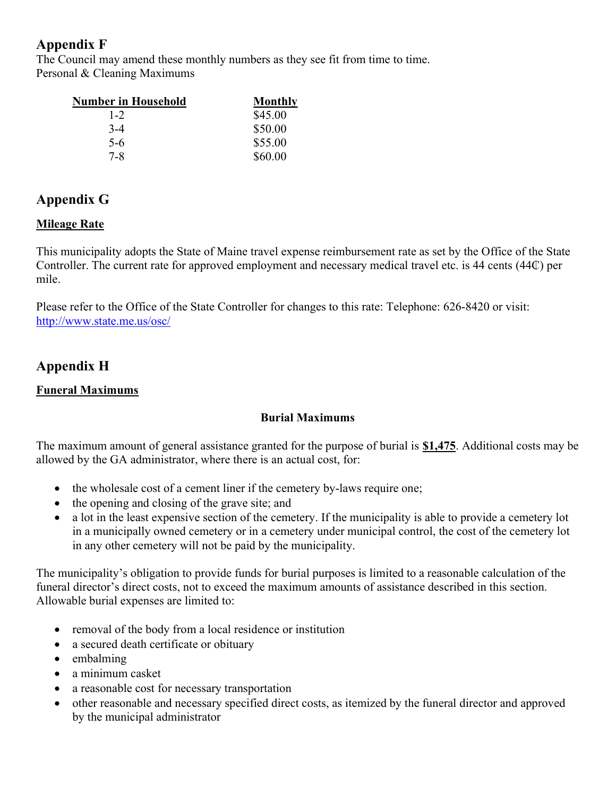## Appendix F

The Council may amend these monthly numbers as they see fit from time to time. Personal & Cleaning Maximums

| <b>Number in Household</b> | <b>Monthly</b> |
|----------------------------|----------------|
| $1 - 2$                    | \$45.00        |
| $3-4$                      | \$50.00        |
| $5-6$                      | \$55.00        |
| $7 - 8$                    | \$60.00        |

# Appendix G

## **Mileage Rate**

This municipality adopts the State of Maine travel expense reimbursement rate as set by the Office of the State Controller. The current rate for approved employment and necessary medical travel etc. is 44 cents (44₵) per mile.

Please refer to the Office of the State Controller for changes to this rate: Telephone: 626-8420 or visit: http://www.state.me.us/osc/

# Appendix H

#### Funeral Maximums

#### Burial Maximums

The maximum amount of general assistance granted for the purpose of burial is \$1,475. Additional costs may be allowed by the GA administrator, where there is an actual cost, for:

- the wholesale cost of a cement liner if the cemetery by-laws require one;
- the opening and closing of the grave site; and
- a lot in the least expensive section of the cemetery. If the municipality is able to provide a cemetery lot in a municipally owned cemetery or in a cemetery under municipal control, the cost of the cemetery lot in any other cemetery will not be paid by the municipality.

The municipality's obligation to provide funds for burial purposes is limited to a reasonable calculation of the funeral director's direct costs, not to exceed the maximum amounts of assistance described in this section. Allowable burial expenses are limited to:

- removal of the body from a local residence or institution
- a secured death certificate or obituary
- embalming
- a minimum casket
- a reasonable cost for necessary transportation
- other reasonable and necessary specified direct costs, as itemized by the funeral director and approved by the municipal administrator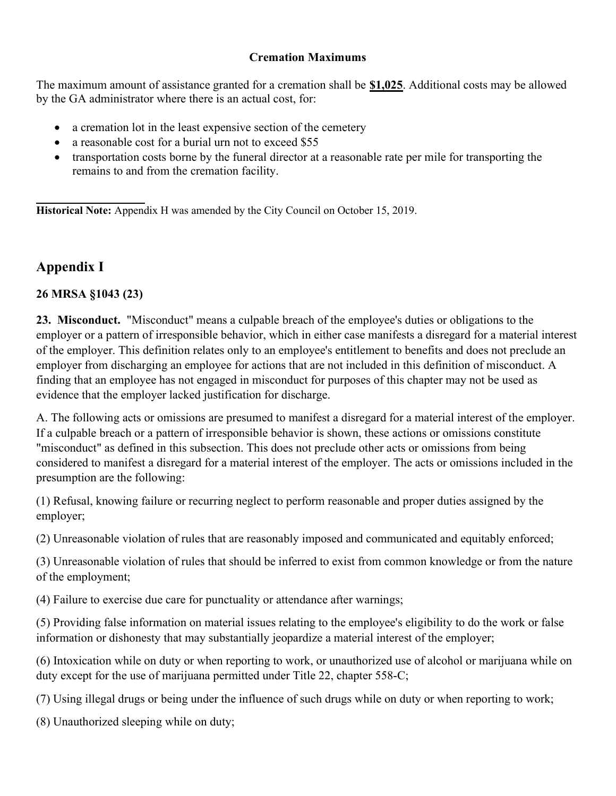#### Cremation Maximums

The maximum amount of assistance granted for a cremation shall be \$1,025. Additional costs may be allowed by the GA administrator where there is an actual cost, for:

- a cremation lot in the least expensive section of the cemetery
- a reasonable cost for a burial urn not to exceed \$55
- transportation costs borne by the funeral director at a reasonable rate per mile for transporting the remains to and from the cremation facility.

 $\overline{\phantom{a}}$ Historical Note: Appendix H was amended by the City Council on October 15, 2019.

## Appendix I

#### 26 MRSA §1043 (23)

23. Misconduct. "Misconduct" means a culpable breach of the employee's duties or obligations to the employer or a pattern of irresponsible behavior, which in either case manifests a disregard for a material interest of the employer. This definition relates only to an employee's entitlement to benefits and does not preclude an employer from discharging an employee for actions that are not included in this definition of misconduct. A finding that an employee has not engaged in misconduct for purposes of this chapter may not be used as evidence that the employer lacked justification for discharge.

A. The following acts or omissions are presumed to manifest a disregard for a material interest of the employer. If a culpable breach or a pattern of irresponsible behavior is shown, these actions or omissions constitute "misconduct" as defined in this subsection. This does not preclude other acts or omissions from being considered to manifest a disregard for a material interest of the employer. The acts or omissions included in the presumption are the following:

(1) Refusal, knowing failure or recurring neglect to perform reasonable and proper duties assigned by the employer;

(2) Unreasonable violation of rules that are reasonably imposed and communicated and equitably enforced;

(3) Unreasonable violation of rules that should be inferred to exist from common knowledge or from the nature of the employment;

(4) Failure to exercise due care for punctuality or attendance after warnings;

(5) Providing false information on material issues relating to the employee's eligibility to do the work or false information or dishonesty that may substantially jeopardize a material interest of the employer;

(6) Intoxication while on duty or when reporting to work, or unauthorized use of alcohol or marijuana while on duty except for the use of marijuana permitted under Title 22, chapter 558-C;

(7) Using illegal drugs or being under the influence of such drugs while on duty or when reporting to work;

(8) Unauthorized sleeping while on duty;